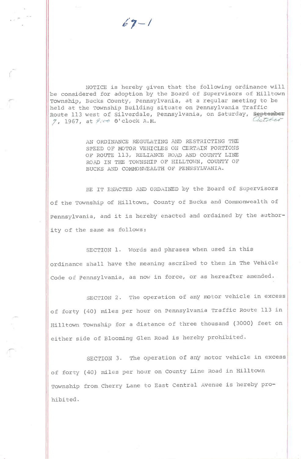$69 - 1$ 

r

NOTICE is hereby given that the following ordinance will be considered for adoption by the Board of Supervisors of Hilltown Township, Bucks County, Pennsylvania, at a regular meeting to be held at the Township Building situate on Pennsylvania Traffic Route 113 west of Silverdale, Pennsylvania, on Saturday, September 7, 1967, at  $\mathcal{G}_{c}$  o'clock A.M.

> AN ORDINANCE REGULATING AND RESTRICTING THE SPEED OF MOTOR VEHICLES ON CERTAIN PORTIONS OF ROUTE 113, RELIANCE ROAD AND COUNTY LINE ROAD IN THE TOWNSHIP OF HILLTOWN, COUNTY OF BUCKS AND COMMONWEALTH OF PENNSYLVANIA.

BE IT ENACTED AND ORDAINED by the Board of Supervisors of the Township of Hilltown, County of Bucks and Commonwealth of Pennsylvania, and it is hereby enacted and ordained by the authority of the same as follows:

SECTION 1. Words and phrases when used in th ordinance shall have the meaning ascribed to them in The Vehicle Code of Pennsylvania, as now in force, or as hereafter amended.

SECTION 2. The operation of any motor vehicle in excess of forty (40) miles per hour on Pennsylvania Traffic Route 113 in Hilltown Township for a distance of three thousand (3000) feet on either side of Blooming Glen Road is hereby prohibited.

SECTION 3. The operation of any motor vehicle in excess of forty (40) miles per hour on County Line Road in Hilltown Township from Cherry Lane to East Central Avenue is hereby prohibited.